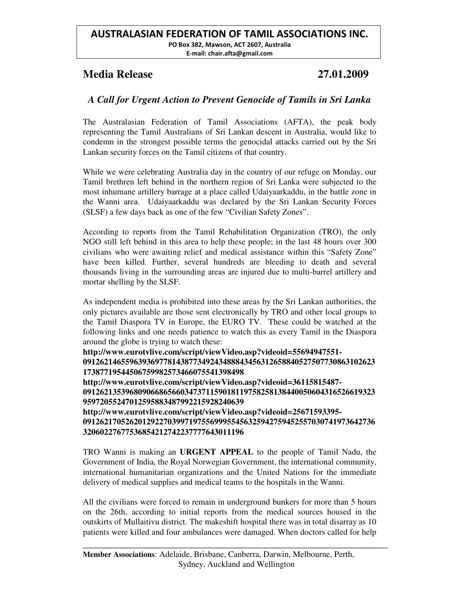## **Media Release 27.01.2009**

# *A Call for Urgent Action to Prevent Genocide of Tamils in Sri Lanka*

The Australasian Federation of Tamil Associations (AFTA), the peak body representing the Tamil Australians of Sri Lankan descent in Australia, would like to condemn in the strongest possible terms the genocidal attacks carried out by the Sri Lankan security forces on the Tamil citizens of that country.

While we were celebrating Australia day in the country of our refuge on Monday, our Tamil brethren left behind in the northern region of Sri Lanka were subjected to the most inhumane artillery barrage at a place called Udaiyaarkaddu, in the battle zone in the Wanni area. Udaiyaarkaddu was declared by the Sri Lankan Security Forces (SLSF) a few days back as one of the few "Civilian Safety Zones".

According to reports from the Tamil Rehabilitation Organization (TRO), the only NGO still left behind in this area to help these people; in the last 48 hours over 300 civilians who were awaiting relief and medical assistance within this "Safety Zone" have been killed. Further, several hundreds are bleeding to death and several thousands living in the surrounding areas are injured due to multi-barrel artillery and mortar shelling by the SLSF.

As independent media is prohibited into these areas by the Sri Lankan authorities, the only pictures available are those sent electronically by TRO and other local groups to the Tamil Diaspora TV in Europe, the EURO TV. These could be watched at the following links and one needs patience to watch this as every Tamil in the Diaspora around the globe is trying to watch these:

**http://www.eurotvlive.com/script/viewVideo.asp?videoid=55694947551- 091262146559639369778143877349243488843456312658840527507730863102623 17387719544506759982573466075541398498 http://www.eurotvlive.com/script/viewVideo.asp?videoid=36115815487- 091262135396809066865660347371159018119758258138440050604316526619323 95972055247012595883487992215928240639 http://www.eurotvlive.com/script/viewVideo.asp?videoid=25671593395- 091262170526201292270399719755699955456325942759452557030741973642736**

### **32060227677536854212742237777643011196**

TRO Wanni is making an **URGENT APPEAL** to the people of Tamil Nadu, the Government of India, the Royal Norwegian Government, the international community, international humanitarian organizations and the United Nations for the immediate delivery of medical supplies and medical teams to the hospitals in the Wanni.

All the civilians were forced to remain in underground bunkers for more than 5 hours on the 26th, according to initial reports from the medical sources housed in the outskirts of Mullaitivu district. The makeshift hospital there was in total disarray as 10 patients were killed and four ambulances were damaged. When doctors called for help

**\_\_\_\_\_\_\_\_\_\_\_\_\_\_\_\_\_\_\_\_\_\_\_\_\_\_\_\_\_\_\_\_\_\_\_\_\_\_\_\_\_\_\_\_\_\_\_\_\_\_\_\_\_\_\_\_\_\_\_\_\_**